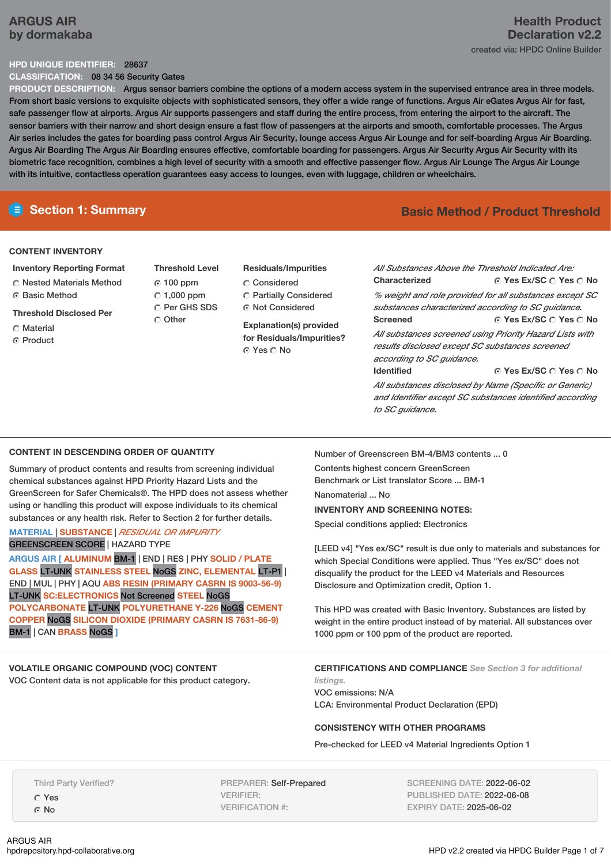# **ARGUS AIR by dormakaba**

### **HPD UNIQUE IDENTIFIER:** 28637

**CLASSIFICATION:** 08 34 56 Security Gates

**PRODUCT DESCRIPTION:** Argus sensor barriers combine the options of a modern access system in the supervised entrance area in three models. From short basic versions to exquisite objects with sophisticated sensors, they offer a wide range of functions. Argus Air eGates Argus Air for fast, safe passenger flow at airports. Argus Air supports passengers and staff during the entire process, from entering the airport to the aircraft. The sensor barriers with their narrow and short design ensure a fast flow of passengers at the airports and smooth, comfortable processes. The Argus Air series includes the gates for boarding pass control Argus Air Security, lounge access Argus Air Lounge and for self-boarding Argus Air Boarding. Argus Air Boarding The Argus Air Boarding ensures effective, comfortable boarding for passengers. Argus Air Security Argus Air Security with its biometric face recognition, combines a high level of security with a smooth and effective passenger flow. Argus Air Lounge The Argus Air Lounge with its intuitive, contactless operation guarantees easy access to lounges, even with luggage, children or wheelchairs.

## **Section 1: Summary Basic Method / Product Threshold**

## **CONTENT INVENTORY**

**Inventory Reporting Format** Nested Materials Method C Basic Method

**Threshold Disclosed Per**

- Material
- ⊙ Product

**Threshold Level** 100 ppm  $\degree$  1,000 ppm C Per GHS SDS C Other

### **Residuals/Impurities**

- C Considered Partially Considered
- ⊙ Not Considered

**Explanation(s) provided for Residuals/Impurities?** Yes No

**Yes Ex/SC Yes No Yes Ex/SC Yes No Yes Ex/SC Yes No** *All Substances Above the Threshold Indicated Are:* **Characterized** *% weight and role provided for all substances except SC substances characterized according to SC guidance.* **Screened** *All substances screened using Priority Hazard Lists with results disclosed except SC substances screened according to SC guidance.* **Identified** *All substances disclosed by Name (Specific or Generic)*

*and Identifier except SC substances identified according to SC guidance.*

### **CONTENT IN DESCENDING ORDER OF QUANTITY**

Summary of product contents and results from screening individual chemical substances against HPD Priority Hazard Lists and the GreenScreen for Safer Chemicals®. The HPD does not assess whether using or handling this product will expose individuals to its chemical substances or any health risk. Refer to Section 2 for further details.

## **MATERIAL** | **SUBSTANCE** | *RESIDUAL OR IMPURITY* GREENSCREEN SCORE | HAZARD TYPE

**ARGUS AIR [ ALUMINUM** BM-1 | END | RES | PHY **SOLID / PLATE GLASS** LT-UNK **STAINLESS STEEL** NoGS **ZINC, ELEMENTAL** LT-P1 | END | MUL | PHY | AQU **ABS RESIN (PRIMARY CASRN IS 9003-56-9)** LT-UNK **SC:ELECTRONICS** Not Screened **STEEL** NoGS **POLYCARBONATE** LT-UNK **POLYURETHANE Y-226** NoGS **CEMENT COPPER** NoGS **SILICON DIOXIDE (PRIMARY CASRN IS 7631-86-9)** BM-1 | CAN **BRASS** NoGS **]**

## **VOLATILE ORGANIC COMPOUND (VOC) CONTENT**

VOC Content data is not applicable for this product category.

Number of Greenscreen BM-4/BM3 contents ... 0

Contents highest concern GreenScreen Benchmark or List translator Score ... BM-1

Nanomaterial ... No

### **INVENTORY AND SCREENING NOTES:**

Special conditions applied: Electronics

[LEED v4] "Yes ex/SC" result is due only to materials and substances for which Special Conditions were applied. Thus "Yes ex/SC" does not disqualify the product for the LEED v4 Materials and Resources Disclosure and Optimization credit, Option 1.

This HPD was created with Basic Inventory. Substances are listed by weight in the entire product instead of by material. All substances over 1000 ppm or 100 ppm of the product are reported.

**CERTIFICATIONS AND COMPLIANCE** *See Section 3 for additional listings.* VOC emissions: N/A

LCA: Environmental Product Declaration (EPD)

## **CONSISTENCY WITH OTHER PROGRAMS**

Pre-checked for LEED v4 Material Ingredients Option 1

Third Party Verified?

Yes ⊙ No

PREPARER: Self-Prepared VERIFIER: VERIFICATION #:

SCREENING DATE: 2022-06-02 PUBLISHED DATE: 2022-06-08 EXPIRY DATE: 2025-06-02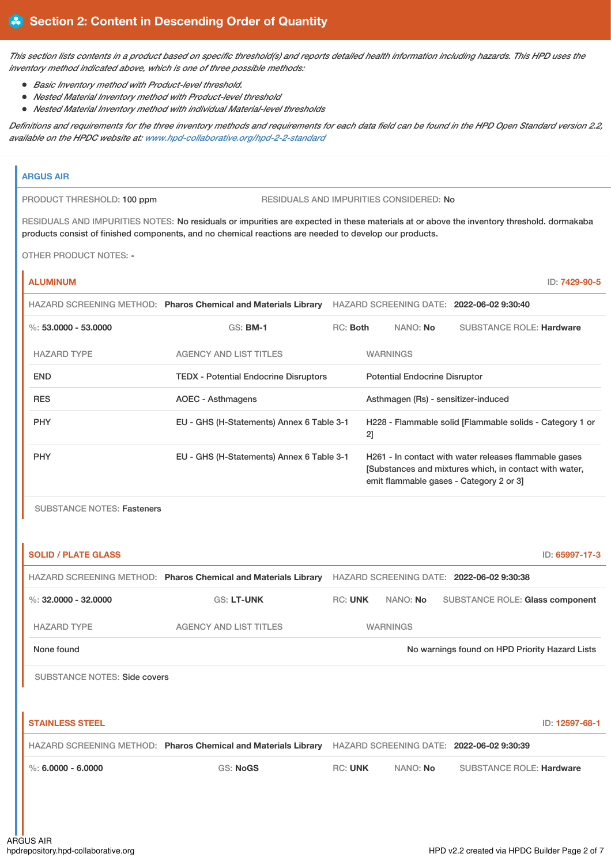This section lists contents in a product based on specific threshold(s) and reports detailed health information including hazards. This HPD uses the *inventory method indicated above, which is one of three possible methods:*

- *Basic Inventory method with Product-level threshold.*
- *Nested Material Inventory method with Product-level threshold*
- *Nested Material Inventory method with individual Material-level thresholds*

Definitions and requirements for the three inventory methods and requirements for each data field can be found in the HPD Open Standard version 2.2, *available on the HPDC website at: [www.hpd-collaborative.org/hpd-2-2-standard](https://www.hpd-collaborative.org/hpd-2-2-standard)*

## **ARGUS AIR**

PRODUCT THRESHOLD: 100 ppm RESIDUALS AND IMPURITIES CONSIDERED: No

RESIDUALS AND IMPURITIES NOTES: No residuals or impurities are expected in these materials at or above the inventory threshold. dormakaba products consist of finished components, and no chemical reactions are needed to develop our products.

OTHER PRODUCT NOTES: -

| <b>ALUMINUM</b>      |                                                                |          |                 |                                      |                                                                                                                                                           | ID: 7429-90-5 |
|----------------------|----------------------------------------------------------------|----------|-----------------|--------------------------------------|-----------------------------------------------------------------------------------------------------------------------------------------------------------|---------------|
|                      | HAZARD SCREENING METHOD: Pharos Chemical and Materials Library |          |                 |                                      | HAZARD SCREENING DATE: 2022-06-02 9:30:40                                                                                                                 |               |
| %: 53,0000 - 53,0000 | $GS:$ BM-1                                                     | RC: Both |                 | NANO: No                             | <b>SUBSTANCE ROLE: Hardware</b>                                                                                                                           |               |
| <b>HAZARD TYPE</b>   | <b>AGENCY AND LIST TITLES</b>                                  |          | <b>WARNINGS</b> |                                      |                                                                                                                                                           |               |
| <b>END</b>           | <b>TEDX - Potential Endocrine Disruptors</b>                   |          |                 | <b>Potential Endocrine Disruptor</b> |                                                                                                                                                           |               |
| <b>RES</b>           | <b>AOEC - Asthmagens</b>                                       |          |                 |                                      | Asthmagen (Rs) - sensitizer-induced                                                                                                                       |               |
| <b>PHY</b>           | EU - GHS (H-Statements) Annex 6 Table 3-1                      |          | 2]              |                                      | H228 - Flammable solid [Flammable solids - Category 1 or                                                                                                  |               |
| <b>PHY</b>           | EU - GHS (H-Statements) Annex 6 Table 3-1                      |          |                 |                                      | H261 - In contact with water releases flammable gases<br>[Substances and mixtures which, in contact with water,<br>emit flammable gases - Category 2 or 3 |               |

SUBSTANCE NOTES: Fasteners

| <b>SOLID / PLATE GLASS</b>          |                                                                |                |                 | ID: 65997-17-3                                 |
|-------------------------------------|----------------------------------------------------------------|----------------|-----------------|------------------------------------------------|
|                                     | HAZARD SCREENING METHOD: Pharos Chemical and Materials Library |                |                 | HAZARD SCREENING DATE: 2022-06-02 9:30:38      |
| %: $32,0000 - 32,0000$              | <b>GS: LT-UNK</b>                                              | <b>RC: UNK</b> | NANO: No        | <b>SUBSTANCE ROLE: Glass component</b>         |
| <b>HAZARD TYPE</b>                  | <b>AGENCY AND LIST TITLES</b>                                  |                | <b>WARNINGS</b> |                                                |
| None found                          |                                                                |                |                 | No warnings found on HPD Priority Hazard Lists |
| <b>SUBSTANCE NOTES: Side covers</b> |                                                                |                |                 |                                                |
|                                     |                                                                |                |                 |                                                |
| <b>STAINLESS STEEL</b>              |                                                                |                |                 | ID: 12597-68-1                                 |
|                                     | HAZARD SCREENING METHOD: Pharos Chemical and Materials Library |                |                 | HAZARD SCREENING DATE: 2022-06-02 9:30:39      |
| $\%$ : 6.0000 - 6.0000              | <b>GS: NoGS</b>                                                | <b>RC: UNK</b> | NANO: No        | <b>SUBSTANCE ROLE: Hardware</b>                |
|                                     |                                                                |                |                 |                                                |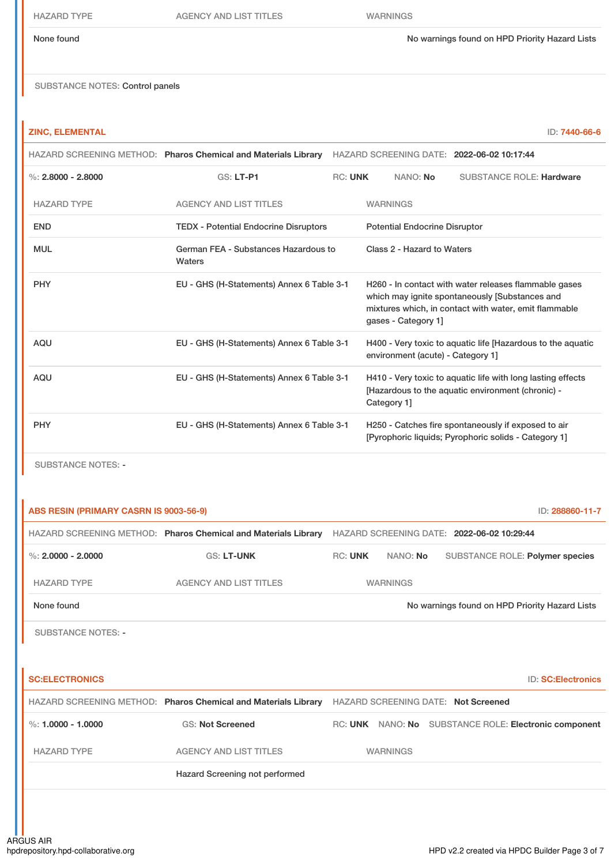None found Now arrings found on HPD Priority Hazard Lists

SUBSTANCE NOTES: Control panels

## **ZINC, ELEMENTAL** ID: **7440-66-6**

|                           | HAZARD SCREENING METHOD: Pharos Chemical and Materials Library |                |                                      | HAZARD SCREENING DATE: 2022-06-02 10:17:44                                                                                                                       |
|---------------------------|----------------------------------------------------------------|----------------|--------------------------------------|------------------------------------------------------------------------------------------------------------------------------------------------------------------|
| %: $2,8000 - 2,8000$      | <b>GS: LT-P1</b>                                               | <b>RC: UNK</b> | NANO: No                             | <b>SUBSTANCE ROLE: Hardware</b>                                                                                                                                  |
| <b>HAZARD TYPE</b>        | <b>AGENCY AND LIST TITLES</b>                                  |                | <b>WARNINGS</b>                      |                                                                                                                                                                  |
| <b>END</b>                | <b>TEDX - Potential Endocrine Disruptors</b>                   |                | <b>Potential Endocrine Disruptor</b> |                                                                                                                                                                  |
| <b>MUL</b>                | German FEA - Substances Hazardous to<br>Waters                 |                | Class 2 - Hazard to Waters           |                                                                                                                                                                  |
| <b>PHY</b>                | EU - GHS (H-Statements) Annex 6 Table 3-1                      |                | gases - Category 1]                  | H260 - In contact with water releases flammable gases<br>which may ignite spontaneously [Substances and<br>mixtures which, in contact with water, emit flammable |
| <b>AQU</b>                | EU - GHS (H-Statements) Annex 6 Table 3-1                      |                | environment (acute) - Category 1]    | H400 - Very toxic to aquatic life [Hazardous to the aquatic                                                                                                      |
| <b>AQU</b>                | EU - GHS (H-Statements) Annex 6 Table 3-1                      |                | Category 1]                          | H410 - Very toxic to aquatic life with long lasting effects<br>[Hazardous to the aquatic environment (chronic) -                                                 |
| <b>PHY</b>                | EU - GHS (H-Statements) Annex 6 Table 3-1                      |                |                                      | H250 - Catches fire spontaneously if exposed to air<br>[Pyrophoric liquids; Pyrophoric solids - Category 1]                                                      |
| <b>SUBSTANCE NOTES: -</b> |                                                                |                |                                      |                                                                                                                                                                  |

| ABS RESIN (PRIMARY CASRN IS 9003-56-9) |                                                                |                |                                            |  | ID: 288860-11-7                                       |
|----------------------------------------|----------------------------------------------------------------|----------------|--------------------------------------------|--|-------------------------------------------------------|
|                                        | HAZARD SCREENING METHOD: Pharos Chemical and Materials Library |                | HAZARD SCREENING DATE: 2022-06-02 10:29:44 |  |                                                       |
| %: $2.0000 - 2.0000$                   | <b>GS: LT-UNK</b>                                              | <b>RC: UNK</b> | NANO: No                                   |  | SUBSTANCE ROLE: Polymer species                       |
| <b>HAZARD TYPE</b>                     | <b>AGENCY AND LIST TITLES</b>                                  |                | <b>WARNINGS</b>                            |  |                                                       |
| None found                             |                                                                |                |                                            |  | No warnings found on HPD Priority Hazard Lists        |
| <b>SUBSTANCE NOTES: -</b>              |                                                                |                |                                            |  |                                                       |
|                                        |                                                                |                |                                            |  |                                                       |
| <b>SC:ELECTRONICS</b>                  |                                                                |                |                                            |  | <b>ID: SC:Electronics</b>                             |
|                                        | HAZARD SCREENING METHOD: Pharos Chemical and Materials Library |                | <b>HAZARD SCREENING DATE: Not Screened</b> |  |                                                       |
| %: $1.0000 - 1.0000$                   | <b>GS: Not Screened</b>                                        |                |                                            |  | RC: UNK NANO: No SUBSTANCE ROLE: Electronic component |
| <b>HAZARD TYPE</b>                     | <b>AGENCY AND LIST TITLES</b>                                  |                | <b>WARNINGS</b>                            |  |                                                       |
|                                        | Hazard Screening not performed                                 |                |                                            |  |                                                       |
|                                        |                                                                |                |                                            |  |                                                       |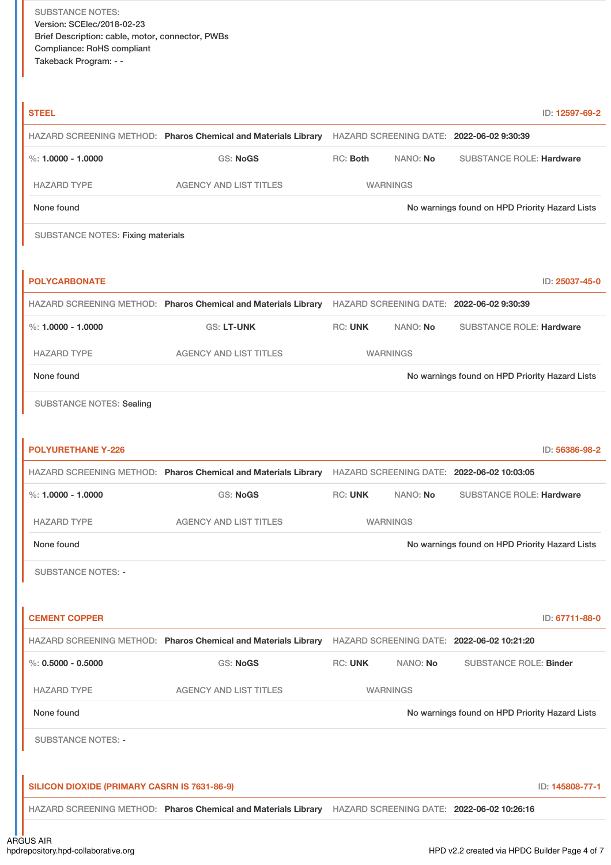| <b>STEEL</b>                                 |                                                                                                           |                |                 |                                                | ID: 12597-69-2  |
|----------------------------------------------|-----------------------------------------------------------------------------------------------------------|----------------|-----------------|------------------------------------------------|-----------------|
|                                              | HAZARD SCREENING METHOD: Pharos Chemical and Materials Library HAZARD SCREENING DATE: 2022-06-02 9:30:39  |                |                 |                                                |                 |
| %: $1,0000 - 1,0000$                         | GS: NoGS                                                                                                  | RC: Both       | NANO: No        | <b>SUBSTANCE ROLE: Hardware</b>                |                 |
| <b>HAZARD TYPE</b>                           | <b>AGENCY AND LIST TITLES</b>                                                                             |                | <b>WARNINGS</b> |                                                |                 |
| None found                                   |                                                                                                           |                |                 | No warnings found on HPD Priority Hazard Lists |                 |
| <b>SUBSTANCE NOTES: Fixing materials</b>     |                                                                                                           |                |                 |                                                |                 |
|                                              |                                                                                                           |                |                 |                                                |                 |
| <b>POLYCARBONATE</b>                         |                                                                                                           |                |                 |                                                | ID: 25037-45-0  |
|                                              | HAZARD SCREENING METHOD: Pharos Chemical and Materials Library HAZARD SCREENING DATE: 2022-06-02 9:30:39  |                |                 |                                                |                 |
| %: $1.0000 - 1.0000$                         | <b>GS: LT-UNK</b>                                                                                         | <b>RC: UNK</b> | NANO: No        | <b>SUBSTANCE ROLE: Hardware</b>                |                 |
| <b>HAZARD TYPE</b>                           | <b>AGENCY AND LIST TITLES</b>                                                                             |                | <b>WARNINGS</b> |                                                |                 |
| None found                                   |                                                                                                           |                |                 | No warnings found on HPD Priority Hazard Lists |                 |
| <b>SUBSTANCE NOTES: Sealing</b>              |                                                                                                           |                |                 |                                                |                 |
|                                              |                                                                                                           |                |                 |                                                |                 |
| <b>POLYURETHANE Y-226</b>                    |                                                                                                           |                |                 |                                                | ID: 56386-98-2  |
|                                              | HAZARD SCREENING METHOD: Pharos Chemical and Materials Library HAZARD SCREENING DATE: 2022-06-02 10:03:05 |                |                 |                                                |                 |
| %: $1.0000 - 1.0000$                         | GS: NoGS                                                                                                  | <b>RC: UNK</b> | NANO: No        | <b>SUBSTANCE ROLE: Hardware</b>                |                 |
| <b>HAZARD TYPE</b>                           | <b>AGENCY AND LIST TITLES</b>                                                                             |                | <b>WARNINGS</b> |                                                |                 |
| None found                                   |                                                                                                           |                |                 | No warnings found on HPD Priority Hazard Lists |                 |
| <b>SUBSTANCE NOTES: -</b>                    |                                                                                                           |                |                 |                                                |                 |
|                                              |                                                                                                           |                |                 |                                                |                 |
| <b>CEMENT COPPER</b>                         |                                                                                                           |                |                 |                                                | ID: 67711-88-0  |
|                                              | HAZARD SCREENING METHOD: Pharos Chemical and Materials Library HAZARD SCREENING DATE: 2022-06-02 10:21:20 |                |                 |                                                |                 |
| $\%$ : 0.5000 - 0.5000                       | <b>GS: NoGS</b>                                                                                           | <b>RC: UNK</b> | NANO: No        | <b>SUBSTANCE ROLE: Binder</b>                  |                 |
| <b>HAZARD TYPE</b>                           | <b>AGENCY AND LIST TITLES</b>                                                                             |                | <b>WARNINGS</b> |                                                |                 |
| None found                                   |                                                                                                           |                |                 | No warnings found on HPD Priority Hazard Lists |                 |
| <b>SUBSTANCE NOTES: -</b>                    |                                                                                                           |                |                 |                                                |                 |
|                                              |                                                                                                           |                |                 |                                                |                 |
| SILICON DIOXIDE (PRIMARY CASRN IS 7631-86-9) |                                                                                                           |                |                 |                                                | ID: 145808-77-1 |
|                                              | HAZARD SCREENING METHOD: Pharos Chemical and Materials Library HAZARD SCREENING DATE: 2022-06-02 10:26:16 |                |                 |                                                |                 |
|                                              |                                                                                                           |                |                 |                                                |                 |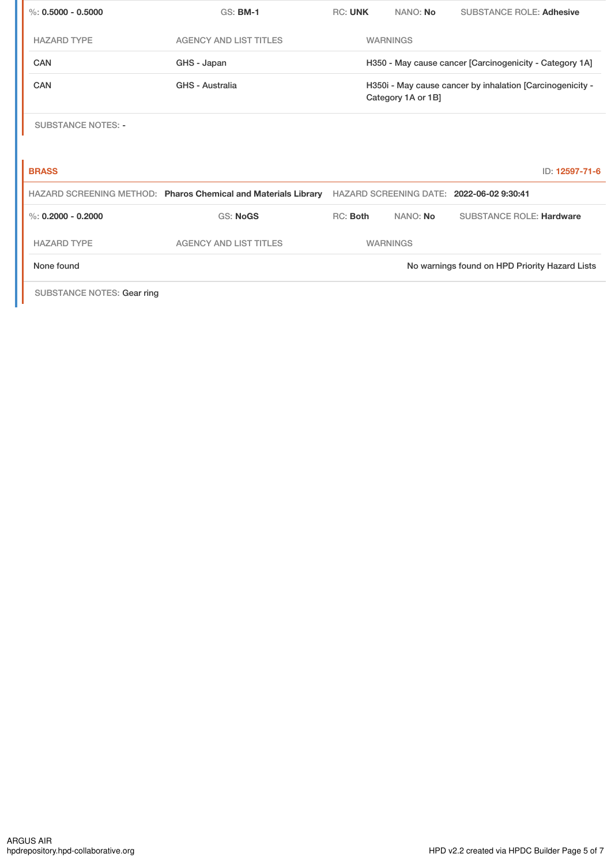| %: $0.5000 - 0.5000$      | <b>GS: BM-1</b>                                                | <b>RC: UNK</b> | NANO: No           | <b>SUBSTANCE ROLE: Adhesive</b>                           |
|---------------------------|----------------------------------------------------------------|----------------|--------------------|-----------------------------------------------------------|
| <b>HAZARD TYPE</b>        | <b>AGENCY AND LIST TITLES</b>                                  |                | <b>WARNINGS</b>    |                                                           |
| CAN                       | GHS - Japan                                                    |                |                    | H350 - May cause cancer [Carcinogenicity - Category 1A]   |
| <b>CAN</b>                | GHS - Australia                                                |                | Category 1A or 1B] | H350i - May cause cancer by inhalation [Carcinogenicity - |
| <b>SUBSTANCE NOTES: -</b> |                                                                |                |                    |                                                           |
|                           |                                                                |                |                    |                                                           |
| <b>BRASS</b>              |                                                                |                |                    | ID: 12597-71-6                                            |
|                           | HAZARD SCREENING METHOD: Pharos Chemical and Materials Library |                |                    | HAZARD SCREENING DATE: 2022-06-02 9:30:41                 |
| %: $0.2000 - 0.2000$      | <b>GS: NoGS</b>                                                | RC: Both       | NANO: No           | <b>SUBSTANCE ROLE: Hardware</b>                           |
| <b>HAZARD TYPE</b>        | <b>AGENCY AND LIST TITLES</b>                                  |                | <b>WARNINGS</b>    |                                                           |
| None found                |                                                                |                |                    | No warnings found on HPD Priority Hazard Lists            |

SUBSTANCE NOTES: Gear ring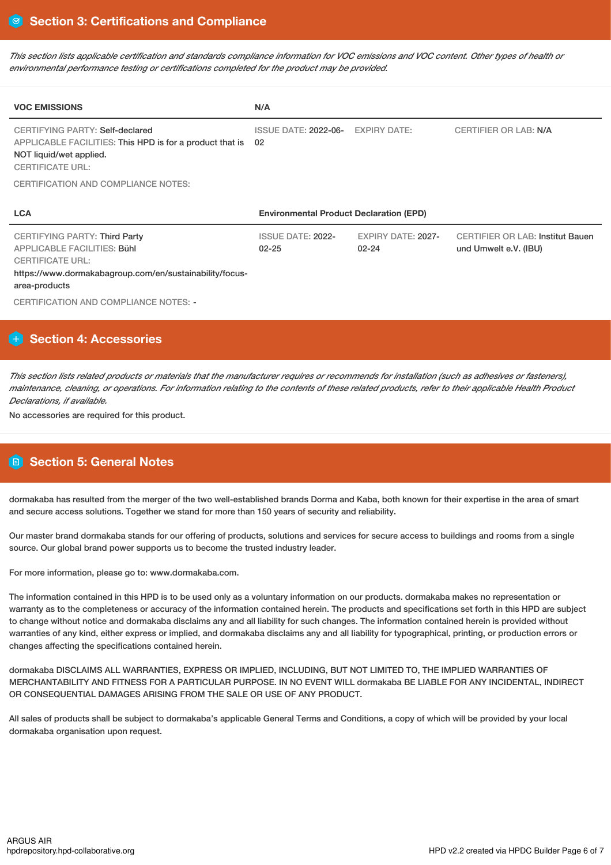This section lists applicable certification and standards compliance information for VOC emissions and VOC content. Other types of health or *environmental performance testing or certifications completed for the product may be provided.*

| <b>VOC EMISSIONS</b>                                                                                                                                                              | N/A                                            |                                        |                                                                  |
|-----------------------------------------------------------------------------------------------------------------------------------------------------------------------------------|------------------------------------------------|----------------------------------------|------------------------------------------------------------------|
| CERTIFYING PARTY: Self-declared<br>APPLICABLE FACILITIES: This HPD is for a product that is<br>NOT liquid/wet applied.<br><b>CERTIFICATE URL:</b>                                 | <b>ISSUE DATE: 2022-06-</b><br>-02             | <b>EXPIRY DATE:</b>                    | <b>CERTIFIER OR LAB: N/A</b>                                     |
| <b>CERTIFICATION AND COMPLIANCE NOTES:</b>                                                                                                                                        |                                                |                                        |                                                                  |
| <b>LCA</b>                                                                                                                                                                        | <b>Environmental Product Declaration (EPD)</b> |                                        |                                                                  |
|                                                                                                                                                                                   |                                                |                                        |                                                                  |
| <b>CERTIFYING PARTY: Third Party</b><br><b>APPLICABLE FACILITIES: Bühl</b><br><b>CERTIFICATE URL:</b><br>https://www.dormakabagroup.com/en/sustainability/focus-<br>area-products | <b>ISSUE DATE: 2022-</b><br>$02 - 25$          | <b>EXPIRY DATE: 2027-</b><br>$02 - 24$ | <b>CERTIFIER OR LAB: Institut Bauen</b><br>und Umwelt e.V. (IBU) |

# **Section 4: Accessories**

This section lists related products or materials that the manufacturer requires or recommends for installation (such as adhesives or fasteners), maintenance, cleaning, or operations. For information relating to the contents of these related products, refer to their applicable Health Product *Declarations, if available.*

No accessories are required for this product.

# **Section 5: General Notes**

dormakaba has resulted from the merger of the two well-established brands Dorma and Kaba, both known for their expertise in the area of smart and secure access solutions. Together we stand for more than 150 years of security and reliability.

Our master brand dormakaba stands for our offering of products, solutions and services for secure access to buildings and rooms from a single source. Our global brand power supports us to become the trusted industry leader.

For more information, please go to: www.dormakaba.com.

The information contained in this HPD is to be used only as a voluntary information on our products. dormakaba makes no representation or warranty as to the completeness or accuracy of the information contained herein. The products and specifications set forth in this HPD are subject to change without notice and dormakaba disclaims any and all liability for such changes. The information contained herein is provided without warranties of any kind, either express or implied, and dormakaba disclaims any and all liability for typographical, printing, or production errors or changes affecting the specifications contained herein.

dormakaba DISCLAIMS ALL WARRANTIES, EXPRESS OR IMPLIED, INCLUDING, BUT NOT LIMITED TO, THE IMPLIED WARRANTIES OF MERCHANTABILITY AND FITNESS FOR A PARTICULAR PURPOSE. IN NO EVENT WILL dormakaba BE LIABLE FOR ANY INCIDENTAL, INDIRECT OR CONSEQUENTIAL DAMAGES ARISING FROM THE SALE OR USE OF ANY PRODUCT.

All sales of products shall be subject to dormakaba's applicable General Terms and Conditions, a copy of which will be provided by your local dormakaba organisation upon request.